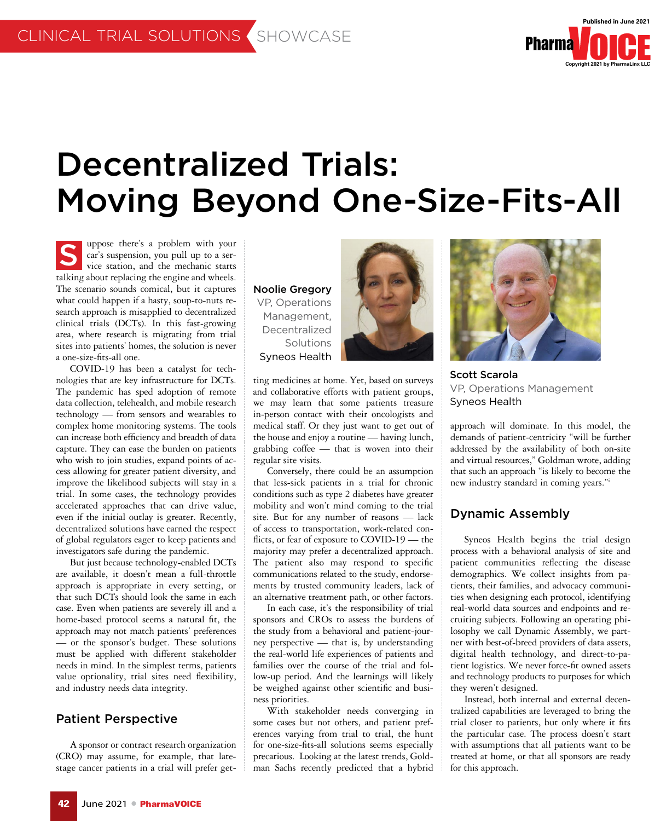

# Decentralized Trials: Moving Beyond One-Size-Fits-All

uppose there's a problem with your car's suspension, you pull up to a service station, and the mechanic starts talking about replacing the engine and wheels. The scenario sounds comical, but it captures what could happen if a hasty, soup-to-nuts research approach is misapplied to decentralized clinical trials (DCTs). In this fast-growing area, where research is migrating from trial sites into patients' homes, the solution is never a one-size-fits-all one. S

COVID-19 has been a catalyst for technologies that are key infrastructure for DCTs. The pandemic has sped adoption of remote data collection, telehealth, and mobile research technology — from sensors and wearables to complex home monitoring systems. The tools can increase both efficiency and breadth of data capture. They can ease the burden on patients who wish to join studies, expand points of access allowing for greater patient diversity, and improve the likelihood subjects will stay in a trial. In some cases, the technology provides accelerated approaches that can drive value, even if the initial outlay is greater. Recently, decentralized solutions have earned the respect of global regulators eager to keep patients and investigators safe during the pandemic.

But just because technology-enabled DCTs are available, it doesn't mean a full-throttle approach is appropriate in every setting, or that such DCTs should look the same in each case. Even when patients are severely ill and a home-based protocol seems a natural fit, the approach may not match patients' preferences — or the sponsor's budget. These solutions must be applied with different stakeholder needs in mind. In the simplest terms, patients value optionality, trial sites need flexibility, and industry needs data integrity.

### Patient Perspective

A sponsor or contract research organization (CRO) may assume, for example, that latestage cancer patients in a trial will prefer getNoolie Gregory VP, Operations Management, Decentralized Solutions Syneos Health



ting medicines at home. Yet, based on surveys and collaborative efforts with patient groups, we may learn that some patients treasure in-person contact with their oncologists and medical staff. Or they just want to get out of the house and enjoy a routine — having lunch, grabbing coffee — that is woven into their regular site visits.

Conversely, there could be an assumption that less-sick patients in a trial for chronic conditions such as type 2 diabetes have greater mobility and won't mind coming to the trial site. But for any number of reasons — lack of access to transportation, work-related conflicts, or fear of exposure to COVID-19 — the majority may prefer a decentralized approach. The patient also may respond to specific communications related to the study, endorsements by trusted community leaders, lack of an alternative treatment path, or other factors.

In each case, it's the responsibility of trial sponsors and CROs to assess the burdens of the study from a behavioral and patient-journey perspective — that is, by understanding the real-world life experiences of patients and families over the course of the trial and follow-up period. And the learnings will likely be weighed against other scientific and business priorities.

With stakeholder needs converging in some cases but not others, and patient preferences varying from trial to trial, the hunt for one-size-fits-all solutions seems especially precarious. Looking at the latest trends, Goldman Sachs recently predicted that a hybrid



Scott Scarola VP, Operations Management Syneos Health

approach will dominate. In this model, the demands of patient-centricity "will be further addressed by the availability of both on-site and virtual resources," Goldman wrote, adding that such an approach "is likely to become the new industry standard in coming years."i

# Dynamic Assembly

Syneos Health begins the trial design process with a behavioral analysis of site and patient communities reflecting the disease demographics. We collect insights from patients, their families, and advocacy communities when designing each protocol, identifying real-world data sources and endpoints and recruiting subjects. Following an operating philosophy we call Dynamic Assembly, we partner with best-of-breed providers of data assets, digital health technology, and direct-to-patient logistics. We never force-fit owned assets and technology products to purposes for which they weren't designed.

Instead, both internal and external decentralized capabilities are leveraged to bring the trial closer to patients, but only where it fits the particular case. The process doesn't start with assumptions that all patients want to be treated at home, or that all sponsors are ready for this approach.